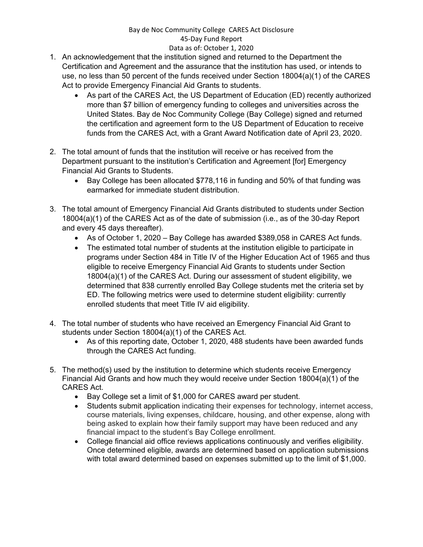## Bay de Noc Community College CARES Act Disclosure 45‐Day Fund Report Data as of: October 1, 2020

- 1. An acknowledgement that the institution signed and returned to the Department the Certification and Agreement and the assurance that the institution has used, or intends to use, no less than 50 percent of the funds received under Section 18004(a)(1) of the CARES Act to provide Emergency Financial Aid Grants to students.
	- As part of the CARES Act, the US Department of Education (ED) recently authorized more than \$7 billion of emergency funding to colleges and universities across the United States. Bay de Noc Community College (Bay College) signed and returned the certification and agreement form to the US Department of Education to receive funds from the CARES Act, with a Grant Award Notification date of April 23, 2020.
- 2. The total amount of funds that the institution will receive or has received from the Department pursuant to the institution's Certification and Agreement [for] Emergency Financial Aid Grants to Students.
	- Bay College has been allocated \$778,116 in funding and 50% of that funding was earmarked for immediate student distribution.
- 3. The total amount of Emergency Financial Aid Grants distributed to students under Section 18004(a)(1) of the CARES Act as of the date of submission (i.e., as of the 30-day Report and every 45 days thereafter).
	- As of October 1, 2020 Bay College has awarded \$389,058 in CARES Act funds.
	- The estimated total number of students at the institution eligible to participate in programs under Section 484 in Title IV of the Higher Education Act of 1965 and thus eligible to receive Emergency Financial Aid Grants to students under Section 18004(a)(1) of the CARES Act. During our assessment of student eligibility, we determined that 838 currently enrolled Bay College students met the criteria set by ED. The following metrics were used to determine student eligibility: currently enrolled students that meet Title IV aid eligibility.
- 4. The total number of students who have received an Emergency Financial Aid Grant to students under Section 18004(a)(1) of the CARES Act.
	- As of this reporting date, October 1, 2020, 488 students have been awarded funds through the CARES Act funding.
- 5. The method(s) used by the institution to determine which students receive Emergency Financial Aid Grants and how much they would receive under Section 18004(a)(1) of the CARES Act.
	- Bay College set a limit of \$1,000 for CARES award per student.
	- Students submit application indicating their expenses for technology, internet access, course materials, living expenses, childcare, housing, and other expense, along with being asked to explain how their family support may have been reduced and any financial impact to the student's Bay College enrollment.
	- College financial aid office reviews applications continuously and verifies eligibility. Once determined eligible, awards are determined based on application submissions with total award determined based on expenses submitted up to the limit of \$1,000.